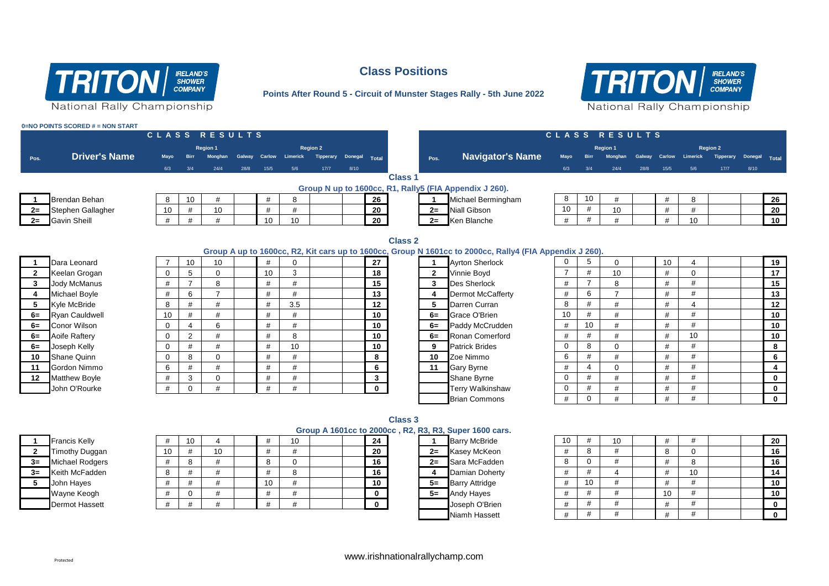

# **Class Positions**

**Points After Round 5 - Circuit of Munster Stages Rally - 5th June 2022**



|                | 0=NO POINTS SCORED # = NON START |                |                |                 |      |               |                            |      |      |              |                |              |                                                                                                         |                |                |                |      |      |                        |                  |               |              |
|----------------|----------------------------------|----------------|----------------|-----------------|------|---------------|----------------------------|------|------|--------------|----------------|--------------|---------------------------------------------------------------------------------------------------------|----------------|----------------|----------------|------|------|------------------------|------------------|---------------|--------------|
|                |                                  | CLASS RESULTS  |                |                 |      |               |                            |      |      |              |                |              |                                                                                                         |                |                | CLASS RESULTS  |      |      |                        |                  |               |              |
|                |                                  |                |                | <b>Region 1</b> |      |               | <b>Region 2</b>            |      |      |              |                |              |                                                                                                         |                |                | Region 1       |      |      |                        | <b>Region 2</b>  |               |              |
| Pos.           | <b>Driver's Name</b>             | Mayo           | <b>Birr</b>    | Monghan         |      | Galway Carlow | Limerick Tipperary Donegal |      |      | Total        |                | Pos.         | <b>Navigator's Name</b>                                                                                 | Mayo           | <b>Birr</b>    | Monghan        |      |      | Galway Carlow Limerick | <b>Tipperary</b> | Donegal Total |              |
|                |                                  | 6/3            | 3/4            | 24/4            | 28/8 | 15/5          | 5/6                        | 17/7 | 8/10 |              |                |              |                                                                                                         | 6/3            | 3/4            | 24/4           | 28/8 | 15/5 | 5/6                    | $17/7$           | 8/10          |              |
|                |                                  |                |                |                 |      |               |                            |      |      |              | <b>Class 1</b> |              |                                                                                                         |                |                |                |      |      |                        |                  |               |              |
|                |                                  |                |                |                 |      |               |                            |      |      |              |                |              | Group N up to 1600cc, R1, Rally5 (FIA Appendix J 260).                                                  |                |                |                |      |      |                        |                  |               |              |
|                | <b>Brendan Behan</b>             | 8              | 10             | #               |      | #             | 8                          |      |      | 26           |                |              | Michael Bermingham                                                                                      | 8              | 10             | #              |      | #    | 8                      |                  |               | 26           |
| $2=$           | Stephen Gallagher                | 10             | #              | 10              |      | #             | #                          |      |      | 20           |                | $2=$         | <b>Niall Gibson</b>                                                                                     | 10             | #              | 10             |      | #    | #                      |                  |               | 20           |
| $2=$           | <b>Gavin Sheill</b>              | #              | #              | #               |      | 10            | 10                         |      |      | 20           |                |              | $2 =$ Ken Blanche                                                                                       | #              | $\#$           | #              |      | #    | 10                     |                  |               | 10           |
|                |                                  |                |                |                 |      |               |                            |      |      |              |                |              |                                                                                                         |                |                |                |      |      |                        |                  |               |              |
|                |                                  |                |                |                 |      |               |                            |      |      |              | <b>Class 2</b> |              |                                                                                                         |                |                |                |      |      |                        |                  |               |              |
|                |                                  |                |                |                 |      |               |                            |      |      |              |                |              | Group A up to 1600cc, R2, Kit cars up to 1600cc, Group N 1601cc to 2000cc, Rally4 (FIA Appendix J 260). |                |                |                |      |      |                        |                  |               |              |
| $\mathbf 1$    | Dara Leonard                     | $\overline{7}$ | 10             | 10              |      | #             | $\mathbf 0$                |      |      | 27           |                | $\mathbf{1}$ | <b>Avrton Sherlock</b>                                                                                  | $\mathbf{0}$   | 5 <sup>5</sup> | $\mathbf 0$    |      | 10   |                        |                  |               | 19           |
| $\mathbf{2}$   | Keelan Grogan                    | $\mathbf 0$    | 5              | $\mathbf 0$     |      | 10            | 3                          |      |      | 18           |                | $\mathbf{2}$ | Vinnie Boyd                                                                                             | $\overline{7}$ | $\#$           | 10             |      | #    | $\Omega$               |                  |               | 17           |
| 3              | Jody McManus                     | #              | $\overline{7}$ | 8               |      | #             | #                          |      |      | 15           |                | 3            | <b>Des Sherlock</b>                                                                                     | #              | $\overline{7}$ | 8              |      | #    | #                      |                  |               | 15           |
| 4              | Michael Boyle                    | $\#$           | 6              | $\overline{7}$  |      | #             | #                          |      |      | 13           |                | 4            | <b>Dermot McCafferty</b>                                                                                | $\#$           | 6              | $\overline{7}$ |      | #    | #                      |                  |               | 13           |
| 5              | Kyle McBride                     | 8              | #              | #               |      | #             | 3.5                        |      |      | 12           |                | 5            | Darren Curran                                                                                           | 8              | $\#$           | #              |      | #    | $\boldsymbol{\Delta}$  |                  |               | 12           |
| $6=$           | <b>Ryan Cauldwell</b>            | 10             | #              | #               |      | #             | #                          |      |      | 10           |                | $6=$         | Grace O'Brien                                                                                           | 10             | $\#$           | #              |      | #    | #                      |                  |               | 10           |
| $6=$           | <b>Conor Wilson</b>              | $\mathbf 0$    | $\overline{4}$ | 6               |      | #             | #                          |      |      | 10           |                | $6=$         | Paddy McCrudden                                                                                         | #              | 10             | #              |      | #    | #                      |                  |               | 10           |
| $6=$           | Aoife Raftery                    | $\mathbf 0$    | $\overline{2}$ | #               |      | #             | 8                          |      |      | 10           |                | $6=$         | Ronan Comerford                                                                                         | #              | #              | #              |      | #    | 10                     |                  |               | 10           |
| $6=$           | Joseph Kelly                     | $\mathbf 0$    | #              | #               |      | #             | 10                         |      |      | 10           |                | 9            | <b>Patrick Brides</b>                                                                                   | $\mathbf 0$    | 8              | $\mathbf 0$    |      | #    | #                      |                  |               | 8            |
| 10             | <b>Shane Quinn</b>               | $\mathbf 0$    | 8              | $\mathbf{0}$    |      | #             | #                          |      |      | 8            |                | 10           | Zoe Nimmo                                                                                               | 6              | $\#$           | #              |      | #    | #                      |                  |               | 6            |
| 11             | Gordon Nimmo                     | 6              | #              | #               |      | #             | #                          |      |      | 6            |                | 11           | <b>Gary Byrne</b>                                                                                       | #              | $\overline{4}$ | $\mathbf 0$    |      | #    | #                      |                  |               | 4            |
| 12             | <b>Matthew Boyle</b>             | $\#$           | 3              | $\mathbf 0$     |      | #             | #                          |      |      | $\mathbf{3}$ |                |              | Shane Byrne                                                                                             | $\mathbf 0$    | #              | #              |      | #    | #                      |                  |               | $\mathbf 0$  |
|                | John O'Rourke                    | #              | $\mathbf 0$    | #               |      | #             | #                          |      |      | $\mathbf{0}$ |                |              | <b>Terry Walkinshaw</b>                                                                                 | 0              | #              | #              |      | #    | #                      |                  |               | $\mathbf 0$  |
|                |                                  |                |                |                 |      |               |                            |      |      |              |                |              | <b>Brian Commons</b>                                                                                    | #              | $\mathbf 0$    | #              |      | #    | #                      |                  |               | $\mathbf{0}$ |
|                |                                  |                |                |                 |      |               |                            |      |      |              |                |              |                                                                                                         |                |                |                |      |      |                        |                  |               |              |
|                |                                  |                |                |                 |      |               |                            |      |      |              | <b>Class 3</b> |              |                                                                                                         |                |                |                |      |      |                        |                  |               |              |
|                |                                  |                |                |                 |      |               |                            |      |      |              |                |              | Group A 1601cc to 2000cc, R2, R3, R3, Super 1600 cars.                                                  |                |                |                |      |      |                        |                  |               |              |
|                | <b>Francis Kelly</b>             | #              | 10             | $\overline{4}$  |      | #             | 10                         |      |      | 24           |                | -1           | <b>Barry McBride</b>                                                                                    | 10             | #              | 10             |      | #    | #                      |                  |               | 20           |
| $\overline{2}$ | <b>Timothy Duggan</b>            | 10             | #              | 10              |      | #             | #                          |      |      | 20           |                | $2=$         | Kasev McKeon                                                                                            | #              | 8              | #              |      | 8    | $\mathbf 0$            |                  |               | 16           |
| $3=$           | <b>Michael Rodgers</b>           | #              | 8              | #               |      | 8             | $\mathbf 0$                |      |      | 16           |                | $2=$         | Sara McFadden                                                                                           | 8              | $\mathbf 0$    | #              |      | #    | 8                      |                  |               | 16           |

|       | <b>Barry McBride</b>  |
|-------|-----------------------|
| $2=$  | Kasey McKeon          |
| $2 =$ | Sara McFadden         |
| 4     | Damian Doherty        |
| $5=$  | <b>Barry Attridge</b> |
| 5–    | <b>Andy Hayes</b>     |
|       | Joseph O'Brien        |
|       | Niamh Hassett         |

|       |                        |    |    |    |    |    |  | GIUUD A TUUTCC IU ZUUUCC, NZ, NJ, NJ, JUDEL TUUU CAIS. |  |       |                       |    |    |    |  |    |    |  |  |                 |  |
|-------|------------------------|----|----|----|----|----|--|--------------------------------------------------------|--|-------|-----------------------|----|----|----|--|----|----|--|--|-----------------|--|
|       | <b>Francis Kelly</b>   |    | 10 |    |    | 10 |  | 24                                                     |  |       | <b>Barry McBride</b>  | 10 |    | 10 |  |    |    |  |  | 20              |  |
|       | Timothy Duggan         | 10 |    | 10 |    |    |  | 20                                                     |  | $2 =$ | Kasey McKeon          |    |    |    |  |    |    |  |  | 16              |  |
| 3=    | <b>Michael Rodgers</b> |    |    |    |    |    |  | 16                                                     |  | $2 =$ | Sara McFadden         |    |    |    |  |    |    |  |  | 16              |  |
| $3 =$ | Keith McFadden         |    |    |    |    |    |  | 16                                                     |  |       | Damian Doherty        |    |    |    |  |    | 10 |  |  | 14              |  |
|       | John Hayes             |    |    |    | 10 |    |  | 10                                                     |  | 5≕    | <b>Barry Attridge</b> |    | 10 |    |  |    |    |  |  | 10              |  |
|       | Wayne Keogh            |    |    |    |    |    |  | $\Omega$                                               |  | 5≕    | <b>Andy Hayes</b>     |    |    |    |  | 10 |    |  |  | 10 <sup>1</sup> |  |
|       | <b>Dermot Hassett</b>  |    |    |    |    |    |  | $\Omega$                                               |  |       | Joseph O'Brien        |    |    |    |  |    |    |  |  |                 |  |
|       |                        |    |    |    |    |    |  |                                                        |  |       | Niamh Hassett         |    |    |    |  |    |    |  |  |                 |  |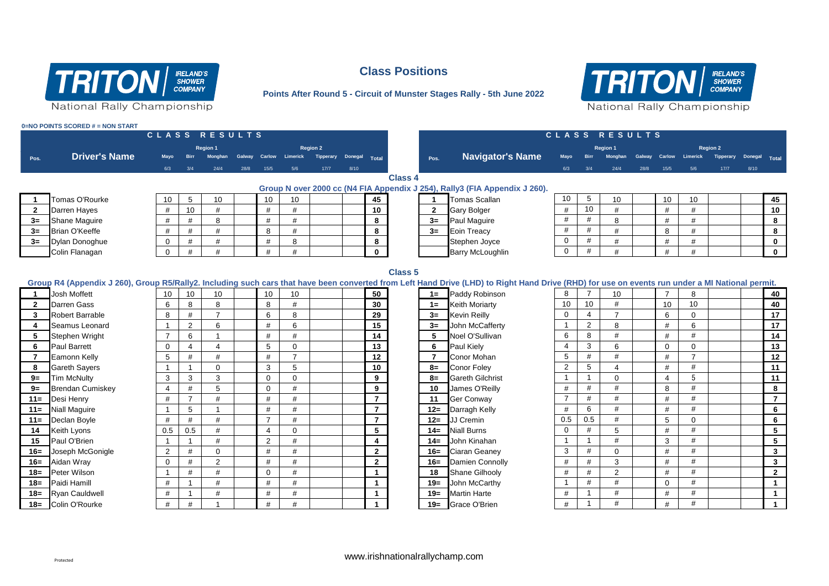

# **Class Positions**

**Points After Round 5 - Circuit of Munster Stages Rally - 5th June 2022**



|                         | 0=NO POINTS SCORED # = NON START |                |                |                 |      |                |                        |           |         |                         |                |                                                                                                                                                                                                 |                |                |                 |               |                |                 |                  |               |                |
|-------------------------|----------------------------------|----------------|----------------|-----------------|------|----------------|------------------------|-----------|---------|-------------------------|----------------|-------------------------------------------------------------------------------------------------------------------------------------------------------------------------------------------------|----------------|----------------|-----------------|---------------|----------------|-----------------|------------------|---------------|----------------|
|                         |                                  |                |                | CLASS RESULTS   |      |                |                        |           |         |                         |                |                                                                                                                                                                                                 |                |                | CLASS RESULTS   |               |                |                 |                  |               |                |
|                         |                                  |                |                | <b>Region 1</b> |      |                |                        | Region 2  |         |                         |                |                                                                                                                                                                                                 |                |                | <b>Region 1</b> |               |                |                 | <b>Region 2</b>  |               |                |
| Pos.                    | <b>Driver's Name</b>             | Mayo           | <b>Birr</b>    | Monghan         |      |                | Galway Carlow Limerick | Tipperary | Donegal | Total                   | Pos.           | <b>Navigator's Name</b>                                                                                                                                                                         | Mayo           | <b>Birr</b>    | Monghan         | Galway Carlow |                | Limerick        | <b>Tipperary</b> | Donegal Total |                |
|                         |                                  | 6/3            | 3/4            | 24/4            | 28/8 | 15/5           | 5/6                    | 17/7      | 8/10    |                         |                |                                                                                                                                                                                                 | 6/3            | 3/4            | 24/4            | 28/8          | $15/5$         | 5/6             | 17/7             | 8/10          |                |
|                         |                                  |                |                |                 |      |                |                        |           |         |                         | <b>Class 4</b> |                                                                                                                                                                                                 |                |                |                 |               |                |                 |                  |               |                |
|                         |                                  |                |                |                 |      |                |                        |           |         |                         |                | Group N over 2000 cc (N4 FIA Appendix J 254), Rally3 (FIA Appendix J 260).                                                                                                                      |                |                |                 |               |                |                 |                  |               |                |
|                         | Tomas O'Rourke                   | 10             | 5              | 10              |      | 10             | 10                     |           |         | 45                      | $\mathbf{1}$   | Tomas Scallan                                                                                                                                                                                   | 10             | 5              | 10              |               | 10             | 10              |                  |               | 45             |
| $\overline{2}$          | Darren Hayes                     | #              | 10             | #               |      | #              | #                      |           |         | 10                      | $\mathbf{2}$   | <b>Gary Bolger</b>                                                                                                                                                                              | #              | 10             | #               |               | #              | #               |                  |               | 10             |
| $3=$                    | <b>Shane Maguire</b>             | #              | #              | 8               |      | #              | #                      |           |         | 8                       | $3=$           | Paul Maguire                                                                                                                                                                                    | $\#$           | #              | 8               |               | #              | #               |                  |               | 8              |
| $3=$                    | <b>Brian O'Keeffe</b>            | #              | #              | #               |      | 8              | #                      |           |         | 8                       | $3=$           | Eoin Treacy                                                                                                                                                                                     | #              | #              | #               |               | 8              | #               |                  |               | 8              |
| $3=$                    | Dylan Donoghue                   | $\mathbf 0$    | #              | #               |      | #              | 8                      |           |         | 8                       |                | Stephen Joyce                                                                                                                                                                                   | $\mathbf 0$    | $\#$           | #               |               | #              | #               |                  |               | $\mathbf 0$    |
|                         | Colin Flanagan                   | $\mathbf 0$    | #              | #               |      | #              | #                      |           |         | $\mathbf{0}$            |                | <b>Barry McLoughlin</b>                                                                                                                                                                         | $\mathbf 0$    | #              | #               |               | #              | #               |                  |               | $\mathbf{0}$   |
|                         |                                  |                |                |                 |      |                |                        |           |         |                         |                |                                                                                                                                                                                                 |                |                |                 |               |                |                 |                  |               |                |
|                         |                                  |                |                |                 |      |                |                        |           |         |                         | <b>Class 5</b> |                                                                                                                                                                                                 |                |                |                 |               |                |                 |                  |               |                |
|                         |                                  |                |                |                 |      |                |                        |           |         |                         |                | Group R4 (Appendix J 260), Group R5/Rally2. Including such cars that have been converted from Left Hand Drive (LHD) to Right Hand Drive (RHD) for use on events run under a MI National permit. |                |                |                 |               |                |                 |                  |               |                |
|                         | <b>Josh Moffett</b>              | 10             | 10             | 10              |      | 10             | 10                     |           |         | 50                      | $1 =$          | Paddy Robinson                                                                                                                                                                                  | 8              | $\overline{7}$ | 10              |               | $\overline{7}$ | 8               |                  |               | 40             |
| $\overline{2}$          | Darren Gass                      | 6              | 8              | 8               |      | 8              | #                      |           |         | 30                      | $1 =$          | <b>Keith Moriarty</b>                                                                                                                                                                           | 10             | 10             | $\#$            |               | 10             | 10              |                  |               | 40             |
| 3                       | <b>Robert Barrable</b>           | 8              | #              | $\overline{7}$  |      | 6              | 8                      |           |         | 29                      | $3=$           | <b>Kevin Reilly</b>                                                                                                                                                                             | 0              | $\overline{4}$ | $\overline{7}$  |               | 6              | $\mathbf 0$     |                  |               | 17             |
| $\overline{\mathbf{4}}$ | Seamus Leonard                   | $\overline{1}$ | 2              | 6               |      | #              | 6                      |           |         | 15                      | $3=$           | John McCafferty                                                                                                                                                                                 | $\overline{1}$ | 2              | 8               |               | #              | $6\phantom{1}6$ |                  |               | 17             |
| 5                       | Stephen Wright                   | $\overline{7}$ | 6              | $\overline{1}$  |      | #              | #                      |           |         | 14                      | 5              | Noel O'Sullivan                                                                                                                                                                                 | 6              | 8              | #               |               | #              | #               |                  |               | 14             |
| 6                       | <b>Paul Barrett</b>              | $\mathbf 0$    | 4              | 4               |      | 5              | $\Omega$               |           |         | 13                      | 6              | Paul Kiely                                                                                                                                                                                      | 4              | 3              | 6               |               | $\Omega$       | $\Omega$        |                  |               | 13             |
| $\overline{7}$          | <b>Eamonn Kelly</b>              | 5              | #              | #               |      | #              | $\overline{7}$         |           |         | 12                      | $\overline{7}$ | Conor Mohan                                                                                                                                                                                     | 5              | #              | #               |               | #              | $\overline{7}$  |                  |               | 12             |
| 8                       | <b>Gareth Sayers</b>             | $\overline{1}$ |                | $\Omega$        |      | 3              | 5                      |           |         | 10                      | $8=$           | <b>Conor Foley</b>                                                                                                                                                                              | $\overline{2}$ | 5              | $\overline{4}$  |               | #              | #               |                  |               | 11             |
| $9=$                    | <b>Tim McNulty</b>               | 3              | 3              | 3               |      | $\mathbf 0$    | $\Omega$               |           |         | 9                       | $8=$           | <b>Gareth Gilchrist</b>                                                                                                                                                                         | $\overline{1}$ | $\overline{1}$ | $\mathbf 0$     |               | $\overline{4}$ | 5               |                  |               | 11             |
| $9=$                    | <b>Brendan Cumiskey</b>          | $\overline{4}$ | #              | 5               |      | $\mathbf 0$    | #                      |           |         | 9                       | 10             | James O'Reilly                                                                                                                                                                                  | #              | #              | $\#$            |               | 8              | #               |                  |               | 8              |
| $11 =$                  | Desi Henry                       | #              | $\overline{7}$ | #               |      | #              | #                      |           |         | $\overline{7}$          | 11             | <b>Ger Conway</b>                                                                                                                                                                               | $\overline{7}$ | #              | #               |               | #              | #               |                  |               | $\overline{7}$ |
| $11 =$                  | <b>Niall Maguire</b>             | $\overline{1}$ | 5              | $\overline{1}$  |      | #              | #                      |           |         | $\overline{7}$          | $12 =$         | Darragh Kelly                                                                                                                                                                                   | #              | 6              | $\#$            |               | #              | #               |                  |               | 6              |
| $11 =$                  | Declan Boyle                     | #              | #              | #               |      | $\overline{7}$ | #                      |           |         | $\overline{7}$          | $12 =$         | JJ Cremin                                                                                                                                                                                       | 0.5            | 0.5            | #               |               | 5              | $\Omega$        |                  |               | 6              |
| 14                      | <b>Keith Lyons</b>               | 0.5            | 0.5            | #               |      | 4              | $\Omega$               |           |         | 5                       | $14=$          | <b>Niall Burns</b>                                                                                                                                                                              | $\mathbf 0$    | #              | 5               |               | #              | #               |                  |               | 5              |
| 15                      | Paul O'Brien                     | $\overline{1}$ | $\mathbf{1}$   | #               |      | 2              | #                      |           |         | 4                       | $14=$          | John Kinahan                                                                                                                                                                                    | $\overline{1}$ | $\overline{1}$ | #               |               | 3              | #               |                  |               | 5              |
| $16=$                   | Joseph McGonigle                 | $\overline{2}$ | #              | $\Omega$        |      | #              | #                      |           |         | $\overline{2}$          | $16=$          | Ciaran Geaney                                                                                                                                                                                   | 3              | #              | $\Omega$        |               | #              | #               |                  |               | 3              |
| $16=$                   | Aidan Wray                       | $\mathbf 0$    | #              | $\overline{2}$  |      | #              | #                      |           |         | $\overline{2}$          | $16=$          | Damien Connolly                                                                                                                                                                                 | #              | #              | 3               |               | #              | #               |                  |               | 3              |
| $18 =$                  | Peter Wilson                     | $\overline{1}$ | #              | #               |      | $\mathbf 0$    | #                      |           |         | $\overline{\mathbf{1}}$ | 18             | <b>Shane Gilhooly</b>                                                                                                                                                                           | #              | #              | 2               |               | #              | #               |                  |               | $\overline{2}$ |
| $18 =$                  | Paidi Hamill                     | #              | -1             | #               |      | #              | #                      |           |         | $\mathbf{1}$            | $19=$          | John McCarthy                                                                                                                                                                                   | $\overline{1}$ | #              | #               |               | $\Omega$       | #               |                  |               | $\mathbf{1}$   |
| $18 =$                  | <b>Ryan Cauldwell</b>            | #              |                | #               |      | #              | #                      |           |         | $\overline{\mathbf{1}}$ | $19=$          | <b>Martin Harte</b>                                                                                                                                                                             | #              | -1             | $\#$            |               | #              | #               |                  |               | $\mathbf{1}$   |
| $18 =$                  | Colin O'Rourke                   | #              | #              |                 |      | #              | #                      |           |         | $\overline{1}$          | $19 =$         | Grace O'Brien                                                                                                                                                                                   | #              | $\overline{1}$ | #               |               | #              | #               |                  |               | $\mathbf{1}$   |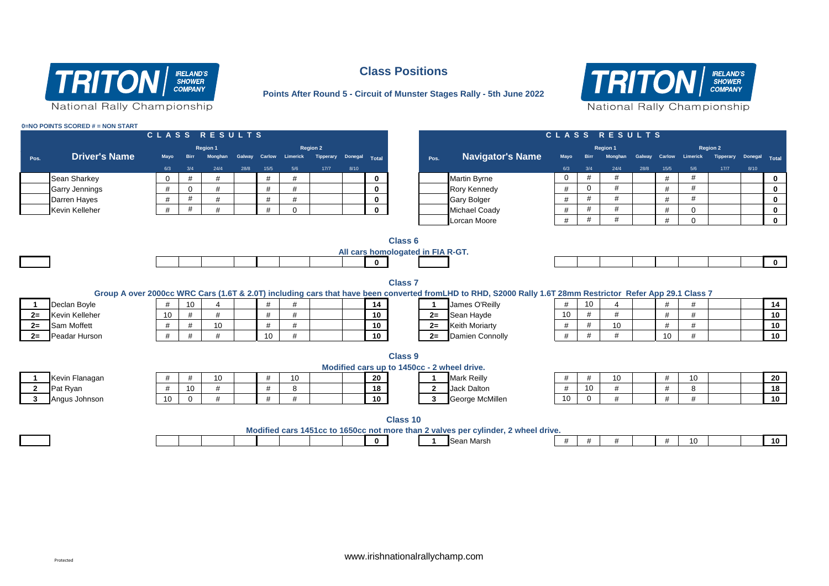

#### **0=NO POINTS SCORED # = NON START**

### Pos. Driver's Name Mayo Birr Monghan Galway Carlow Limerick Tipperary Donegal <sub>Total</sub> Pos. Navigator's Name Mayo Birr Monghan Galway Carlow Limerick Tipperary Donegal <sub>Total</sub> 6/3 3/4 24/4 28/8 15/5 5/6 17/7 8/10 6/3 3/4 24/4 28/8 15/5 5/6 17/7 8/10 **C L A S S R E S U L T S C L A S S R E S U L T S Region 1 Region 2 Driver's Name Region 1 Region 2** Sean Sharkey 0 # # # # **0** Martin Byrne 0 # # # # **0** Garry Jennings | # | 0 | # | | # | # | <mark> 0 | |</mark>Rory Kennedy | # | 0 | # | # | | <u>| 0</u> Darren Hayes # # # # # **0** Gary Bolger # # # # # **0** Kevin Kelleher # # # # 0 **0** Michael Coady # # # # 0 **0** Lorcan Moore **# # # # # 0 dec Class 6 All cars homologated in FIA R-GT. 0 0 Class 7 Group A over 2000cc WRC Cars (1.6T & 2.0T) including cars that have been converted fromLHD to RHD, S2000 Rally 1.6T 28mm Restrictor Refer App 29.1 Class 7 1** Declan Boyle # 10 4 # # **14 1** James O'Reilly # 10 4 # # **14 2=** Kevin Kelleher 10 # # # # **10 2=** Sean Hayde 10 # # # # **10 2=** Sam Moffett # # 10 # # **10 2=** Keith Moriarty # # 10 # # **10** 2= Peadar Hurson | # | # | | 10 | # | | | 10 | <u>2= </u>Damien Connolly | # | # | | 10 | # | | <u>| 10</u> **Class 9 Modified cars up to 1450cc - 2 wheel drive. 1** Kevin Flanagan # # 10 # 10 **20 1** Mark Reilly # # 10 # 10 **20** 2 Pat Ryan | # | 10 | # | | # | 8 | | <u>| 18 | 2 </u>\_Jack Dalton | # | 10 | # | 8 | | <u>| 18</u> **3** Angus Johnson 10 0 # # # **10 3** George McMillen 10 0 # # # **10**

# **Class Positions**

**Points After Round 5 - Circuit of Munster Stages Rally - 5th June 2022**



| Declan Boyle   |
|----------------|
| Kevin Kelleher |
| Sam Moffett    |
| Dooder Hurson  |

| $^{\prime}$ | <br>៱ | . . |  | ^^<br>εu |
|-------------|-------|-----|--|----------|
| $^{\prime}$ |       |     |  |          |
|             |       |     |  |          |
|             |       |     |  |          |

**Class 10 Modified cars 1451cc to 1650cc not more than 2 valves per cylinder, 2 wheel drive.**



**0 1** Sean Marsh # # # # 10 **10**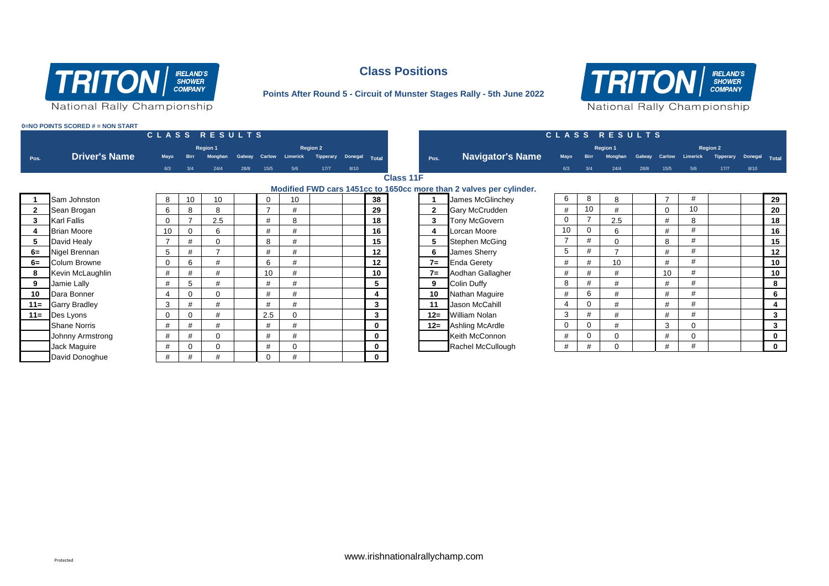

### **Class Positions**

### **Points After Round 5 - Circuit of Munster Stages Rally - 5th June 2022**



**0=NO POINTS SCORED # = NON START**

|              |                         |                |             | CLASS RESULTS   |        |                |             |                 |               |              |                  |                         |                                                                     |                |                | CLASS RESULTS   |               |          |                 |                  |               |              |
|--------------|-------------------------|----------------|-------------|-----------------|--------|----------------|-------------|-----------------|---------------|--------------|------------------|-------------------------|---------------------------------------------------------------------|----------------|----------------|-----------------|---------------|----------|-----------------|------------------|---------------|--------------|
|              |                         |                |             | <b>Region 1</b> |        |                |             | <b>Region 2</b> |               |              |                  |                         |                                                                     |                |                | Region 1        |               |          |                 | <b>Region 2</b>  |               |              |
| Pos.         | <b>Driver's Name</b>    | Mayo           | <b>Birr</b> | <b>Monghan</b>  | Galway | <b>Carlow</b>  | Limerick    | Tipperary       | Donegal Total |              |                  | Pos.                    | <b>Navigator's Name</b>                                             | <b>Mavo</b>    |                | <b>Monghan</b>  | Galway Carlow |          | <b>Limerick</b> | <b>Tipperary</b> | Donegal Total |              |
|              |                         | 6/3            | 3/4         | 24/4            | 28/8   | 15/5           | 5/6         | 17/7            | 8/10          |              |                  |                         |                                                                     | 6/3            | 3/4            | 24/4            | 28/8          | $15/5$   | 5/6             | 17/7             | 8/10          |              |
|              |                         |                |             |                 |        |                |             |                 |               |              | <b>Class 11F</b> |                         |                                                                     |                |                |                 |               |          |                 |                  |               |              |
|              |                         |                |             |                 |        |                |             |                 |               |              |                  |                         | Modified FWD cars 1451cc to 1650cc more than 2 valves per cylinder. |                |                |                 |               |          |                 |                  |               |              |
|              | Sam Johnston            | 8              | 10          | 10              |        | $\Omega$       | 10          |                 |               | 38           |                  |                         | James McGlinchey                                                    | 6              | 8              | 8               |               |          | #               |                  |               | 29           |
| $\mathbf{2}$ | Sean Brogan             | 6              | 8           | 8               |        | $\overline{ }$ |             |                 |               | 29           |                  | $\mathbf{2}$            | <b>Gary McCrudden</b>                                               | #              | 10             | #               |               | $\Omega$ | 10              |                  |               | 20           |
| 3            | <b>Karl Fallis</b>      | $\mathbf 0$    |             | 2.5             |        | #              | 8           |                 |               | 18           |                  | 3                       | <b>Tony McGovern</b>                                                | 0              | $\overline{7}$ | 2.5             |               | #        | 8               |                  |               | 18           |
|              | <b>Brian Moore</b>      | 10             |             | 6               |        | #              | #           |                 |               | 16           |                  | $\overline{\mathbf{4}}$ | Lorcan Moore                                                        | 10             | $\Omega$       | 6               |               | #        | #               |                  |               | 16           |
| 5            | David Healy             | $\overline{7}$ | #           | $\mathbf 0$     |        | 8              |             |                 |               | 15           |                  | 5                       | <b>Stephen McGing</b>                                               | $\overline{7}$ | #              | 0               |               | 8        | #               |                  |               | 15           |
| $6=$         | Nigel Brennan           | 5              | #           | 7               |        | #              |             |                 |               | 12           |                  | 6                       | James Sherry                                                        | 5              | #              | $\overline{ }$  |               | #        | #               |                  |               | 12           |
| $6=$         | <b>Colum Browne</b>     | $\mathbf 0$    | 6           | #               |        | 6              | #           |                 |               | 12           |                  | $7=$                    | <b>Enda Gerety</b>                                                  | #              | #              | 10 <sup>1</sup> |               | #        | #               |                  |               | 10           |
| 8            | Kevin McLaughlin        | $\#$           | #           | #               |        | 10             | #           |                 |               | 10           |                  | $7=$                    | Aodhan Gallagher                                                    | #              | #              | #               |               | 10       | #               |                  |               | 10           |
| 9            | Jamie Lally             | #              | 5           | #               |        | #              | #           |                 |               | 5            |                  | 9                       | <b>Colin Duffy</b>                                                  | 8              | #              | #               |               | #        | #               |                  |               | 8            |
| 10           | Dara Bonner             | 4              |             | $\mathbf 0$     |        | #              | H           |                 |               |              |                  | 10 <sup>1</sup>         | Nathan Maguire                                                      | #              | 6              | #               |               | #        | #               |                  |               | 6            |
| $11 =$       | <b>Garry Bradley</b>    | 3              | #           | #               |        | #              | #           |                 |               | $\mathbf{3}$ |                  | 11                      | Jason McCahill                                                      | 4              | $\mathbf 0$    | #               |               | #        | #               |                  |               | 4            |
| $11 =$       | Des Lyons               | 0              |             | #               |        | 2.5            | $\mathbf 0$ |                 |               | $\mathbf{3}$ |                  | $12 =$                  | <b>William Nolan</b>                                                | 3              | #              | #               |               | #        | #               |                  |               | $\mathbf{3}$ |
|              | <b>Shane Norris</b>     | #              |             | #               |        | #              |             |                 |               | 0            |                  | $12 =$                  | Ashling McArdle                                                     | $\mathbf 0$    | $\Omega$       | #               |               | 3        |                 |                  |               | $\mathbf{3}$ |
|              | <b>Johnny Armstrong</b> | #              | #           | $\mathbf 0$     |        | #              | #           |                 |               | $\mathbf 0$  |                  |                         | Keith McConnon                                                      | #              | $\mathbf 0$    | $\Omega$        |               | #        | 0               |                  |               | $\mathbf 0$  |
|              | Jack Maguire            | #              |             | $\mathbf 0$     |        | #              | $\mathbf 0$ |                 |               | 0            |                  |                         | Rachel McCullough                                                   | #              | #              | $\Omega$        |               | #        | #               |                  |               | $\mathbf{0}$ |
|              | David Donoghue          | #              | #           | #               |        | $\Omega$       | #           |                 |               | $\mathbf 0$  |                  |                         |                                                                     |                |                |                 |               |          |                 |                  |               |              |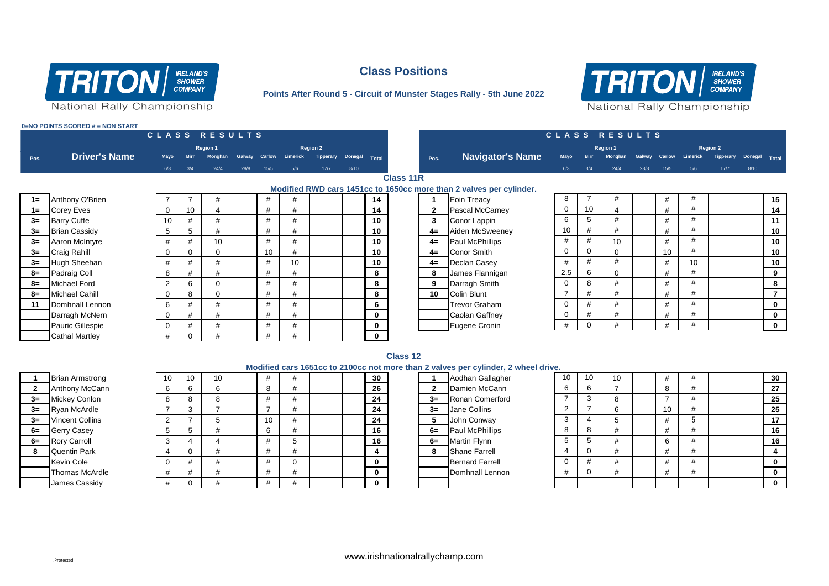

### **Class Positions**

### **Points After Round 5 - Circuit of Munster Stages Rally - 5th June 2022**



**0=NO POINTS SCORED # = NON START**

|       |                       |             |             | CLASS RESULTS  |        |      |                        |                 |               |             |                  |                 |                                                                     |                 |     | CLASS RESULTS   |      |      |                        |                 |               |              |
|-------|-----------------------|-------------|-------------|----------------|--------|------|------------------------|-----------------|---------------|-------------|------------------|-----------------|---------------------------------------------------------------------|-----------------|-----|-----------------|------|------|------------------------|-----------------|---------------|--------------|
|       |                       |             |             | Region 1       |        |      |                        | <b>Region 2</b> |               |             |                  |                 |                                                                     |                 |     | Region 1        |      |      |                        | <b>Region 2</b> |               |              |
| Pos.  | <b>Driver's Name</b>  | Mayo        | <b>Birr</b> | <b>Monghan</b> | Galway |      | <b>Carlow</b> Limerick | Tipperary       | Donegal Total |             |                  | Pos.            | <b>Navigator's Name</b>                                             | Mayo            |     | <b>Monghan</b>  |      |      | Galway Carlow Limerick | Tipperary       | Donegal Total |              |
|       |                       | 6/3         | 3/4         | 24/4           | 28/8   | 15/5 | 5/6                    | 17/7            | 8/10          |             |                  |                 |                                                                     | 6/3             | 3/4 | 24/4            | 28/8 | 15/5 | 5/6                    | 17/7            | 8/10          |              |
|       |                       |             |             |                |        |      |                        |                 |               |             | <b>Class 11R</b> |                 |                                                                     |                 |     |                 |      |      |                        |                 |               |              |
|       |                       |             |             |                |        |      |                        |                 |               |             |                  |                 | Modified RWD cars 1451cc to 1650cc more than 2 valves per cylinder. |                 |     |                 |      |      |                        |                 |               |              |
| $1 =$ | Anthony O'Brien       |             |             |                |        | #    |                        |                 |               | 14          |                  |                 | Eoin Treacy                                                         | 8               |     |                 |      | #    | #                      |                 |               | 15           |
| $1 =$ | <b>Corey Eves</b>     | $\mathbf 0$ | 10          | 4              |        | #    | #                      |                 |               | 14          |                  | $\mathbf{2}$    | <b>Pascal McCarney</b>                                              | $\mathbf{0}$    | 10  |                 |      | #    | #                      |                 |               | 14           |
| $3=$  | <b>Barry Cuffe</b>    | 10          | #           | #              |        | #    | #                      |                 |               | 10          |                  | $\mathbf{3}$    | Conor Lappin                                                        | 6               | 5   | #               |      | #    | #                      |                 |               | 11           |
| $3=$  | <b>Brian Cassidy</b>  | 5           | 5           | #              |        | #    | #                      |                 |               | 10          |                  | $4=$            | Aiden McSweeney                                                     | 10 <sup>1</sup> | #   |                 |      | #    | #                      |                 |               | 10           |
| $3=$  | Aaron McIntyre        | #           |             | 10             |        | #    |                        |                 |               | 10          |                  | $4=$            | <b>Paul McPhillips</b>                                              | #               | #   | 10 <sup>1</sup> |      |      |                        |                 |               | 10           |
| $3=$  | <b>Craig Rahill</b>   | $\mathbf 0$ |             | $\Omega$       |        | 10   | #                      |                 |               | 10          |                  |                 | 4= Conor Smith                                                      | $\mathbf{0}$    | 0   | $\Omega$        |      | 10   | #                      |                 |               | 10           |
| $3=$  | Hugh Sheehan          | #           |             | #              |        | #    | 10                     |                 |               | 10          |                  |                 | 4= Declan Casey                                                     | #               | #   |                 |      |      | 10                     |                 |               | 10           |
| $8=$  | <b>Padraig Coll</b>   | 8           |             | #              |        | #    |                        |                 |               | 8           |                  | 8               | James Flannigan                                                     | 2.5             | 6   | 0               |      |      | #                      |                 |               | 9            |
| $8=$  | <b>Michael Ford</b>   | 2           | 6           | $\Omega$       |        | #    |                        |                 |               | 8           |                  | 9               | Darragh Smith                                                       | $\mathbf{0}$    | 8   |                 |      |      | #                      |                 |               | 8            |
| $8=$  | Michael Cahill        | $\mathbf 0$ | 8           | $\Omega$       |        | #    | #                      |                 |               | 8           |                  | 10 <sup>1</sup> | Colin Blunt                                                         | $\overline{ }$  | #   |                 |      | #    | #                      |                 |               |              |
| 11    | Domhnall Lennon       | 6           | #           | #              |        | #    | #                      |                 |               | 6           |                  |                 | <b>Trevor Graham</b>                                                | $\mathbf{0}$    | #   | #               |      | #    | #                      |                 |               | $\mathbf 0$  |
|       | Darragh McNern        | $\mathbf 0$ |             | #              |        | #    | #                      |                 |               | $\mathbf 0$ |                  |                 | Caolan Gaffney                                                      | $\mathbf{0}$    | #   |                 |      | #    | #                      |                 |               | $\mathbf 0$  |
|       | Pauric Gillespie      | $\mathbf 0$ | #           | #              |        | #    | #                      |                 |               | 0           |                  |                 | Eugene Cronin                                                       | #               |     | #               |      |      | #                      |                 |               | $\mathbf{0}$ |
|       | <b>Cathal Martley</b> | #           | $\mathbf 0$ |                |        | #    |                        |                 |               | $\mathbf 0$ |                  |                 |                                                                     |                 |     |                 |      |      |                        |                 |               |              |

#### **Class 12**

|                | <b>Brian Armstrong</b> |
|----------------|------------------------|
| $\overline{2}$ | Anthony McCan          |
| $3=$           | Mickey Conlon          |
| $3=$           | Ryan McArdle           |
| $3=$           | <b>Vincent Collins</b> |
| $6=$           | <b>Gerry Casey</b>     |
| $6=$           | Rory Carroll           |
| 8              | <b>Quentin Park</b>    |
|                | Kevin Cole             |
|                | <b>Thomas McArdl</b>   |
|                | James Cassidy          |

|      |                        |    |    |   |    |    |          |              | Modified cars 1651cc to 2100cc not more than 2 valves per cylinder, 2 wheel drive. |    |    |    |    |   |  |          |
|------|------------------------|----|----|---|----|----|----------|--------------|------------------------------------------------------------------------------------|----|----|----|----|---|--|----------|
|      | <b>Brian Armstrong</b> | 10 | 10 |   |    |    | 30       |              | Aodhan Gallagher                                                                   | 10 | 10 | 10 |    |   |  | 30       |
|      | <b>Anthony McCann</b>  |    |    | b |    |    | 26       | $\mathbf{2}$ | Damien McCann                                                                      |    |    |    | 8  |   |  | 27       |
| $3=$ | <b>Mickey Conlon</b>   |    |    | Õ |    |    | 24       | $3=$         | Ronan Comerford                                                                    |    |    |    |    |   |  | 25       |
|      | 3= Ryan McArdle        |    |    |   |    |    | 24       | $3=$         | Jane Collins                                                                       |    |    |    | 10 |   |  | 25       |
| $3=$ | <b>Vincent Collins</b> |    |    |   | 10 |    | 24       | 5            | John Conway                                                                        |    |    |    |    |   |  | 17       |
| 6=   | Gerry Casey            |    |    |   |    | #  | 16       | $6=$         | <b>Paul McPhillips</b>                                                             |    |    |    |    |   |  | 16       |
| 6=   | <b>Rory Carroll</b>    |    |    |   |    | D. | 16       | $6=$         | <b>Martin Flynn</b>                                                                |    |    |    | 6  | # |  | 16       |
| 8    | <b>Quentin Park</b>    |    | 0  |   |    |    |          | 8            | <b>Shane Farrell</b>                                                               |    |    |    |    |   |  |          |
|      | <b>Kevin Cole</b>      |    |    |   |    |    | 0        |              | <b>Bernard Farrell</b>                                                             |    |    |    |    | # |  |          |
|      | <b>Thomas McArdle</b>  |    |    |   |    |    | 0        |              | Domhnall Lennon                                                                    |    |    |    |    |   |  |          |
|      | James Cassidy          |    |    |   |    | #  | $\Omega$ |              |                                                                                    |    |    |    |    |   |  | $\Omega$ |
|      |                        |    |    |   |    |    |          |              |                                                                                    |    |    |    |    |   |  |          |

|      | Aodhan Gallagher       |
|------|------------------------|
| 2    | Damien McCann          |
| 3=   | <b>Ronan Comerford</b> |
| 3=   | Jane Collins           |
| 5    | John Conway            |
| $6=$ | <b>Paul McPhillips</b> |
| $6=$ | <b>Martin Flynn</b>    |
| 8    | <b>Shane Farrell</b>   |
|      | <b>Bernard Farrell</b> |
|      | Domhnall Lennon        |
|      |                        |

| е.             |    |    |    |      |  |          |
|----------------|----|----|----|------|--|----------|
| 10             | 10 | 10 | #  | #    |  | 30       |
| 6              | 6  | 7  | 8  | #    |  | 27       |
| 7              | 3  | 8  | 7  | #    |  | 25       |
| $\overline{2}$ | 7  | 6  | 10 | #    |  | 25       |
| 3              | 4  | 5  | #  | 5    |  | 17       |
| 8              | 8  | #  | #  | #    |  | 16       |
| 5              | 5  | #  | 6  | #    |  | 16       |
| 4              | 0  | #  | #  | #    |  | 4        |
| 0              | #  | #  | #  | $\#$ |  | $\bf{0}$ |
| #              | 0  | #  | #  | #    |  | 0        |
|                |    |    |    |      |  | 0        |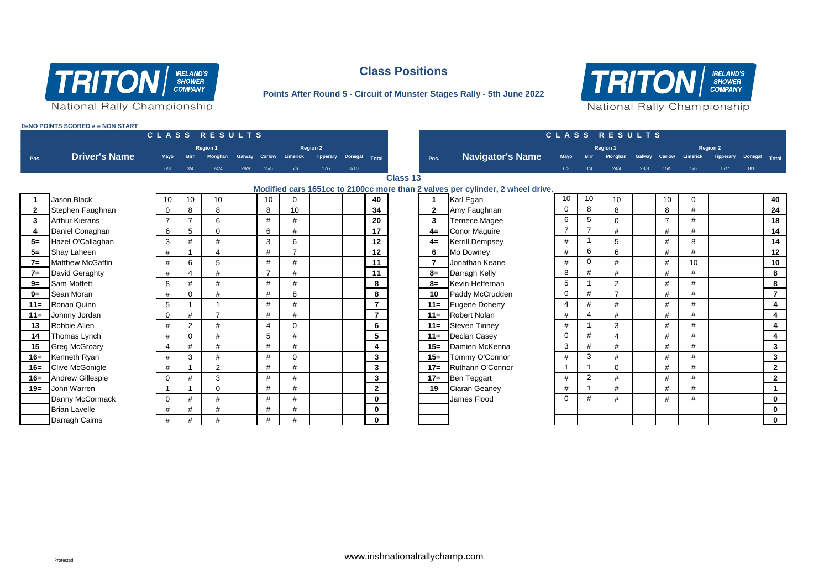

# **Class Positions**

### **Points After Round 5 - Circuit of Munster Stages Rally - 5th June 2022**



**0=NO POINTS SCORED # = NON START**

|                | CLASS RESULTS           |                |                |                |        |                |                |                 |         |                |                 |                | CLASS RESULTS                                                                  |                |                |                 |               |                |                |                  |               |                |  |  |
|----------------|-------------------------|----------------|----------------|----------------|--------|----------------|----------------|-----------------|---------|----------------|-----------------|----------------|--------------------------------------------------------------------------------|----------------|----------------|-----------------|---------------|----------------|----------------|------------------|---------------|----------------|--|--|
|                |                         |                |                | Region 1       |        |                |                | <b>Region 2</b> |         |                |                 |                |                                                                                |                |                | <b>Region 1</b> |               |                |                | <b>Region 2</b>  |               |                |  |  |
| Pos.           | <b>Driver's Name</b>    | Mayo           |                | <b>Monghan</b> | Galway | Carlow         | Limerick       | Tipperary       | Donegal | Total          |                 | Pos.           | <b>Navigator's Name</b>                                                        | Mayo           | <b>Birr</b>    | Monghan         | Galway Carlow |                | Limerick       | <b>Tipperary</b> | Donegal Total |                |  |  |
|                |                         | 6/3            | 3/4            | 24/4           | 28/8   | 15/5           | 5/6            | 17/7            | 8/10    |                |                 |                |                                                                                | 6/3            | 3/4            | 24/4            | 28/8          | 15/5           | 5/6            | 17/7             | 8/10          |                |  |  |
|                |                         |                |                |                |        |                |                |                 |         |                | <b>Class 13</b> |                |                                                                                |                |                |                 |               |                |                |                  |               |                |  |  |
|                |                         |                |                |                |        |                |                |                 |         |                |                 |                | Modified cars 1651cc to 2100cc more than 2 valves per cylinder, 2 wheel drive. |                |                |                 |               |                |                |                  |               |                |  |  |
|                | <b>Jason Black</b>      | 10             | 10             | 10             |        | 10             |                |                 |         | 40             |                 |                | Karl Egan                                                                      | 10             | 10             | 10              |               | 10             | $\Omega$       |                  |               | 40             |  |  |
| $\overline{2}$ | Stephen Faughnan        | $\mathbf 0$    | 8              | 8              |        | 8              | 10             |                 |         | 34             |                 | $\overline{2}$ | Amy Faughnan                                                                   | $\mathbf 0$    | 8              | 8               |               | 8              | #              |                  |               | 24             |  |  |
| 3              | <b>Arthur Kierans</b>   | $\overline{7}$ | $\overline{ }$ | 6              |        | #              | #              |                 |         | 20             |                 | 3              | <b>Ternece Magee</b>                                                           | 6              | 5              | $\mathbf 0$     |               | $\overline{7}$ | $\overline{1}$ |                  |               | 18             |  |  |
|                | Daniel Conaghan         | 6              | 5              | 0              |        | 6              | #              |                 |         | 17             |                 | $4=$           | <b>Conor Maguire</b>                                                           | $\overline{7}$ | $\overline{ }$ | #               |               | #              |                |                  |               | 14             |  |  |
| $5=$           | Hazel O'Callaghan       | 3              | #              | #              |        | 3              | 6              |                 |         | 12             |                 | $4=$           | <b>Kerrill Dempsey</b>                                                         | #              |                | 5               |               | #              | 8              |                  |               | 14             |  |  |
| $5=$           | <b>Shay Laheen</b>      | #              |                | 4              |        | #              | $\overline{ }$ |                 |         | 12             |                 | 6              | Mo Downey                                                                      | #              | 6              | 6               |               | #              | #              |                  |               | 12             |  |  |
| $7=$           | <b>Matthew McGaffin</b> | #              | 6              | 5              |        | #              | #              |                 |         | 11             |                 | $\overline{7}$ | Jonathan Keane                                                                 | $\#$           | $\mathbf 0$    | #               |               | #              | 10             |                  |               | 10             |  |  |
| $7=$           | David Geraghty          | $\#$           | 4              | #              |        | $\overline{7}$ | #              |                 |         | 11             |                 | $8=$           | Darragh Kelly                                                                  | 8              | #              | #               |               | $\#$           | #              |                  |               | 8              |  |  |
| $9=$           | <b>Sam Moffett</b>      | 8              | #              | #              |        | #              | #              |                 |         | 8              |                 | $8=$           | Kevin Heffernan                                                                | 5              |                | 2               |               | #              | #              |                  |               | 8              |  |  |
| $9=$           | Sean Moran              | #              | $\Omega$       | #              |        | #              | 8              |                 |         | 8              |                 | 10             | Paddy McCrudden                                                                | $\mathbf 0$    | #              | $\overline{ }$  |               | #              | #              |                  |               | $\overline{7}$ |  |  |
| $11 =$         | Ronan Quinn             | 5              |                |                |        | #              | #              |                 |         | $\overline{7}$ |                 | $11 =$         | Eugene Doherty                                                                 | $\overline{4}$ | #              | #               |               | $\#$           | #              |                  |               | $\overline{a}$ |  |  |
| $11 =$         | Johnny Jordan           | $\mathbf 0$    | #              | $\overline{ }$ |        | #              | #              |                 |         | $\overline{7}$ |                 | $11 =$         | <b>Robert Nolan</b>                                                            | $\#$           | $\overline{4}$ | #               |               | #              | #              |                  |               | 4              |  |  |
| 13             | Robbie Allen            | #              | $\overline{2}$ | #              |        | 4              | $\Omega$       |                 |         | 6              |                 | $11 =$         | <b>Steven Tinnev</b>                                                           | #              |                | 3               |               | #              | $\overline{1}$ |                  |               | $\overline{4}$ |  |  |
| 14             | Thomas Lynch            | #              | $\mathbf 0$    | #              |        | 5              | #              |                 |         | 5              |                 | $11 =$         | Declan Casey                                                                   | $\mathbf 0$    | $\#$           |                 |               | #              | $\overline{1}$ |                  |               | $\overline{4}$ |  |  |
| 15             | <b>Greg McGroary</b>    | $\overline{4}$ | #              | #              |        | #              | #              |                 |         | 4              |                 | $15=$          | Damien McKenna                                                                 | 3              | #              | #               |               | #              | #              |                  |               | $\mathbf{3}$   |  |  |
| $16 =$         | Kenneth Ryan            | #              | 3              | #              |        | #              | U              |                 |         | $\mathbf{3}$   |                 | $15 =$         | Tommy O'Connor                                                                 | #              | 3              | #               |               | #              | $\overline{u}$ |                  |               | $\mathbf{3}$   |  |  |
| $16=$          | <b>Clive McGonigle</b>  | #              |                | $\overline{2}$ |        | #              | #              |                 |         | 3              |                 | $17 =$         | Ruthann O'Connor                                                               |                |                | $\mathbf 0$     |               | #              |                |                  |               | $\overline{2}$ |  |  |
| $16=$          | <b>Andrew Gillespie</b> | $\mathbf 0$    | #              | 3              |        | #              | #              |                 |         | 3              |                 | $17=$          | Ben Teggart                                                                    | #              | 2              | #               |               | #              | #              |                  |               | $\overline{2}$ |  |  |
| $19 =$         | John Warren             |                |                | 0              |        | #              | #              |                 |         | $\mathbf{2}$   |                 | 19             | Ciaran Geaney                                                                  | #              |                | #               |               | #              | $+$            |                  |               | $\mathbf{1}$   |  |  |
|                | Danny McCormack         | $\mathbf 0$    | #              | #              |        | $\#$           | #              |                 |         | 0              |                 |                | James Flood                                                                    | $\mathbf 0$    | #              | #               |               | $\#$           | #              |                  |               | $\mathbf 0$    |  |  |
|                | <b>Brian Lavelle</b>    | #              | #              | #              |        | #              | #              |                 |         | 0              |                 |                |                                                                                |                |                |                 |               |                |                |                  |               | $\mathbf 0$    |  |  |
|                | Darragh Cairns          | #              | #              | #              |        | #              | #              |                 |         | 0              |                 |                |                                                                                |                |                |                 |               |                |                |                  |               | $\mathbf 0$    |  |  |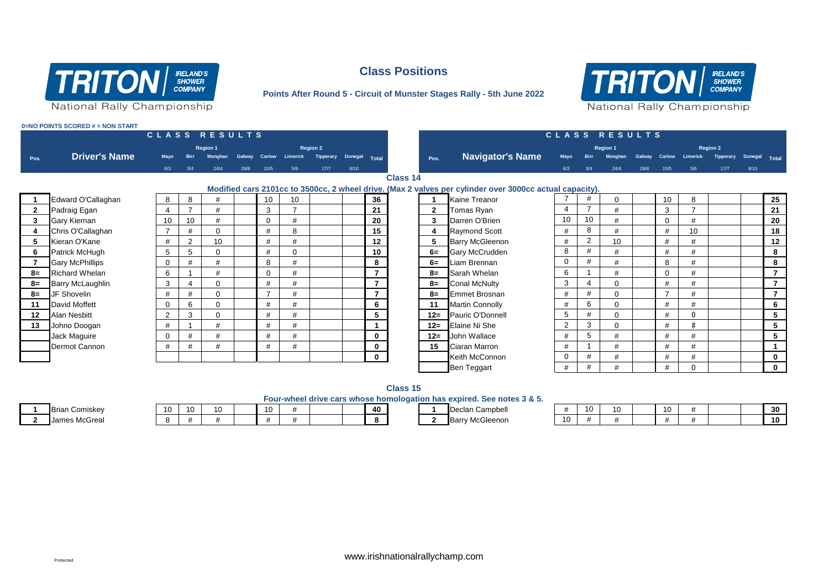

### **Class Positions**

#### **Points After Round 5 - Circuit of Munster Stages Rally - 5th June 2022**



**0=NO POINTS SCORED # = NON START**

|                 |                         |                                                                                                         | CLASS RESULTS |                |        |                |                        |           |               |                 |  |              |                         |                |                |                |      |                 |                        |                  |               |                         |
|-----------------|-------------------------|---------------------------------------------------------------------------------------------------------|---------------|----------------|--------|----------------|------------------------|-----------|---------------|-----------------|--|--------------|-------------------------|----------------|----------------|----------------|------|-----------------|------------------------|------------------|---------------|-------------------------|
| Region 1        |                         |                                                                                                         |               |                |        |                | <b>Region 2</b>        |           |               |                 |  |              |                         | Region 1       |                |                |      |                 |                        | <b>Region 2</b>  |               |                         |
| Pos.            | <b>Driver's Name</b>    | Mayo                                                                                                    | <b>Birr</b>   | <b>Monghan</b> | Galway |                | <b>Carlow</b> Limerick | Tipperary | Donegal Total |                 |  | Pos.         | <b>Navigator's Name</b> | Mayo           | <b>Birr</b>    | <b>Monghan</b> |      |                 | Galway Carlow Limerick | <b>Tipperary</b> | Donegal Total |                         |
|                 |                         | 6/3                                                                                                     | 3/4           | 24/4           | 28/8   | 15/5           | 5/6                    | 17/7      | 8/10          |                 |  |              |                         | 6/3            | 3/4            | 24/4           | 28/8 | 15/5            | 5/6                    | 17/7             | 8/10          |                         |
| <b>Class 14</b> |                         |                                                                                                         |               |                |        |                |                        |           |               |                 |  |              |                         |                |                |                |      |                 |                        |                  |               |                         |
|                 |                         | Modified cars 2101cc to 3500cc, 2 wheel drive. (Max 2 valves per cylinder over 3000cc actual capacity). |               |                |        |                |                        |           |               |                 |  |              |                         |                |                |                |      |                 |                        |                  |               |                         |
|                 | Edward O'Callaghan      | 8                                                                                                       | 8             | #              |        | 10             | 10                     |           |               | 36              |  |              | Kaine Treanor           |                | #              | $\Omega$       |      | 10 <sup>°</sup> | 8                      |                  |               | 25                      |
| $\overline{2}$  | Padraig Egan            | $\overline{4}$                                                                                          |               | #              |        | 3              |                        |           |               | 21              |  | $\mathbf{2}$ | Tomas Ryan              | $\overline{4}$ | $\overline{7}$ | #              |      | 3               |                        |                  |               | 21                      |
| 3               | Gary Kiernan            | 10                                                                                                      | 10            | #              |        | $\mathbf{0}$   | #                      |           |               | 20              |  | 3            | Darren O'Brien          | 10             | 10             | #              |      | $\mathbf{0}$    | #                      |                  |               | 20                      |
|                 | Chris O'Callaghan       | $\overline{7}$                                                                                          | #             | $\mathbf 0$    |        | #              | 8                      |           |               | 15              |  | 4            | <b>Raymond Scott</b>    | #              | 8              | #              |      | #               | 10                     |                  |               | 18                      |
| 5               | Kieran O'Kane           | #                                                                                                       | 2             | 10             |        | #              | #                      |           |               | 12              |  | 5            | <b>Barry McGleenon</b>  | #              | 2              | 10             |      | #               | #                      |                  |               | 12                      |
| 6               | Patrick McHugh          | 5                                                                                                       | 5             | $\mathbf 0$    |        | $\#$           | $\Omega$               |           |               | 10 <sub>1</sub> |  | $6=$         | Gary McCrudden          | 8              | #              | #              |      | #               | #                      |                  |               | 8                       |
|                 | <b>Gary McPhillips</b>  | $\mathbf 0$                                                                                             | #             | #              |        | 8              | #                      |           |               | 8               |  | $6=$         | Liam Brennan            | $\mathbf 0$    | #              | #              |      | 8               |                        |                  |               | 8                       |
| 8=              | <b>Richard Whelan</b>   | 6                                                                                                       |               | #              |        | $\mathbf 0$    |                        |           |               | $\overline{ }$  |  | $8=$         | Sarah Whelan            | 6              |                | #              |      | $\mathbf 0$     |                        |                  |               | $\overline{7}$          |
| $8=$            | <b>Barry McLaughlin</b> | 3                                                                                                       |               | $\mathbf 0$    |        | #              | #                      |           |               |                 |  | $8=$         | Conal McNulty           | 3              | $\overline{4}$ | $\mathbf 0$    |      | #               | #                      |                  |               | $\overline{7}$          |
| 8=              | JF Shovelin             | #                                                                                                       | #             | $\mathbf 0$    |        | $\overline{ }$ | #                      |           |               | $\overline{ }$  |  | $8=$         | <b>Emmet Brosnan</b>    | #              | #              | $\Omega$       |      | $\overline{7}$  | #                      |                  |               | $\overline{7}$          |
| 11              | David Moffett           | $\mathbf 0$                                                                                             | 6             | $\Omega$       |        | #              | #                      |           |               | 6               |  | 11           | Martin Connolly         | #              | 6              | $\Omega$       |      | #               | #                      |                  |               | 6                       |
| 12              | Alan Nesbitt            | 2                                                                                                       | 3             | $\mathbf 0$    |        | #              | #                      |           |               | 5               |  | $12 =$       | Pauric O'Donnell        | 5              | #              | $\mathbf 0$    |      | #               | $\Omega$               |                  |               | 5                       |
| 13              | Johno Doogan            | #                                                                                                       |               | #              |        | #              | #                      |           |               |                 |  | $12 =$       | Elaine Ni She           | 2              | 3              | $\mathbf 0$    |      | #               |                        |                  |               | 5                       |
|                 | Jack Maguire            | $\mathbf 0$                                                                                             | #             | #              |        | #              | #                      |           |               | $\bf{0}$        |  | $12 =$       | John Wallace            | #              | 5              | #              |      | #               | #                      |                  |               | 5                       |
|                 | Dermot Cannon           | #                                                                                                       | #             | #              |        | #              | #                      |           |               | 0               |  | 15           | Ciaran Marron           | #              |                | #              |      | #               | #                      |                  |               | $\overline{\mathbf{1}}$ |
|                 |                         |                                                                                                         |               |                |        |                |                        |           |               | $\mathbf{0}$    |  |              | Keith McConnon          | $\mathbf 0$    | #              | #              |      | #               | #                      |                  |               | $\mathbf{0}$            |
|                 |                         |                                                                                                         |               |                |        |                |                        |           |               |                 |  |              | Ben Teggart             | #              | #              | #              |      | #               | $\Omega$               |                  |               | $\mathbf 0$             |
|                 |                         |                                                                                                         |               |                |        |                |                        |           |               |                 |  |              |                         |                |                |                |      |                 |                        |                  |               |                         |

**Class 15**

**Four-wheel drive cars whose homologation has expired. See notes 3 & 5.**

| <b>Brian Comiskey</b> |  |  |  |  |  |  |  |
|-----------------------|--|--|--|--|--|--|--|
| James McGreal         |  |  |  |  |  |  |  |

|                          |    |  | - - - - |  |    | - - | _____________                    |                |  |  |  |  |
|--------------------------|----|--|---------|--|----|-----|----------------------------------|----------------|--|--|--|--|
| <b>Brian</b><br>Comiskev | 10 |  | 10      |  | 40 |     | - IDer<br>eclan Campbell         |                |  |  |  |  |
| James McGrea             |    |  |         |  |    |     | <b>Barry</b><br>Gleenon<br>⊉ McC | $\overline{A}$ |  |  |  |  |